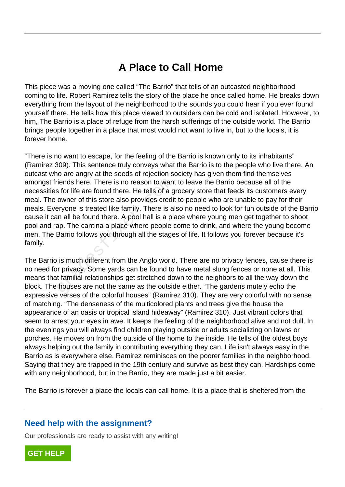## **A Place to Call Home**

This piece was a moving one called "The Barrio" that tells of an outcasted neighborhood coming to life. Robert Ramirez tells the story of the place he once called home. He breaks down everything from the layout of the neighborhood to the sounds you could hear if you ever found yourself there. He tells how this place viewed to outsiders can be cold and isolated. However, to him, The Barrio is a place of refuge from the harsh sufferings of the outside world. The Barrio brings people together in a place that most would not want to live in, but to the locals, it is forever home.

"There is no want to escape, for the feeling of the Barrio is known only to its inhabitants" (Ramirez 309). This sentence truly conveys what the Barrio is to the people who live there. An outcast who are angry at the seeds of rejection society has given them find themselves amongst friends here. There is no reason to want to leave the Barrio because all of the necessities for life are found there. He tells of a grocery store that feeds its customers every meal. The owner of this store also provides credit to people who are unable to pay for their meals. Everyone is treated like family. There is also no need to look for fun outside of the Barrio cause it can all be found there. A pool hall is a place where young men get together to shoot pool and rap. The cantina a place where people come to drink, and where the young become men. The Barrio follows you through all the stages of life. It follows you forever because it's family. Triends here. There is no reason to want<br>is for life are found there. He tells of a g<br>owner of this store also provides credit<br>eryone is treated like family. There is al<br>an all be found there. A pool hall is a pla<br>ap. The

The Barrio is much different from the Anglo world. There are no privacy fences, cause there is no need for privacy. Some yards can be found to have metal slung fences or none at all. This means that familial relationships get stretched down to the neighbors to all the way down the block. The houses are not the same as the outside either. "The gardens mutely echo the expressive verses of the colorful houses" (Ramirez 310). They are very colorful with no sense of matching. "The denseness of the multicolored plants and trees give the house the appearance of an oasis or tropical island hideaway" (Ramirez 310). Just vibrant colors that seem to arrest your eyes in awe. It keeps the feeling of the neighborhood alive and not dull. In the evenings you will always find children playing outside or adults socializing on lawns or porches. He moves on from the outside of the home to the inside. He tells of the oldest boys always helping out the family in contributing everything they can. Life isn't always easy in the Barrio as is everywhere else. Ramirez reminisces on the poorer families in the neighborhood. Saying that they are trapped in the 19th century and survive as best they can. Hardships come with any neighborhood, but in the Barrio, they are made just a bit easier.

The Barrio is forever a place the locals can call home. It is a place that is sheltered from the

## **Need help with the assignment?**

Our professionals are ready to assist with any writing!